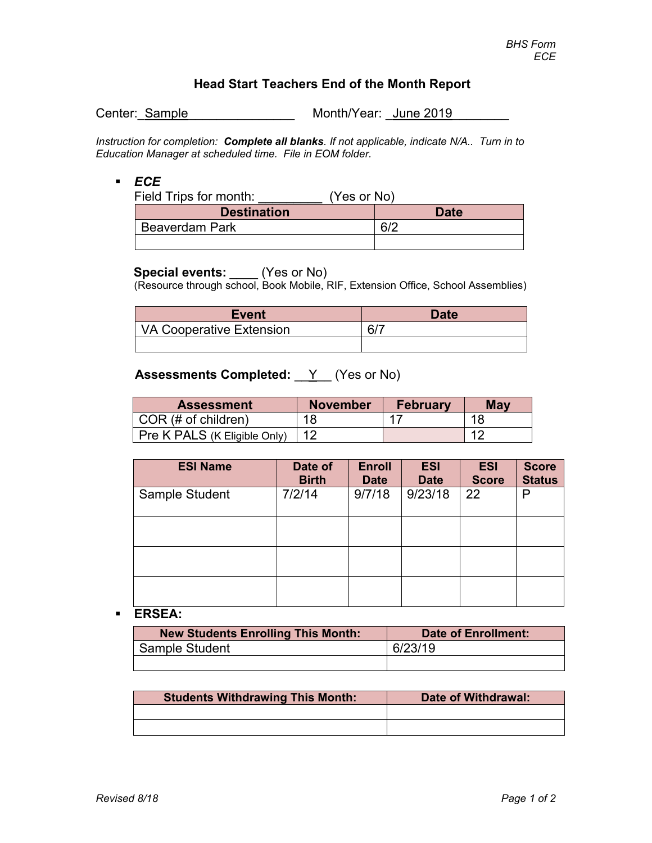# **Head Start Teachers End of the Month Report**

Center: Sample Month/Year: June 2019

*Instruction for completion: Complete all blanks. If not applicable, indicate N/A.. Turn in to Education Manager at scheduled time. File in EOM folder.*

## *ECE*

| Field Trips for month: | (Yes or No) |             |
|------------------------|-------------|-------------|
| <b>Destination</b>     |             | <b>Date</b> |
| <b>Beaverdam Park</b>  |             | 6/2         |
|                        |             |             |

**Special events:** \_\_\_\_ (Yes or No)<br>(Resource through school, Book Mobile, RIF, Extension Office, School Assemblies)

| <b>Event</b>             | <b>Date</b> |
|--------------------------|-------------|
| VA Cooperative Extension |             |
|                          |             |

## **Assessments Completed:** Y (Yes or No)

| <b>Assessment</b>            | <b>November</b> | <b>February</b> | May |
|------------------------------|-----------------|-----------------|-----|
| COR (# of children)          | 18              |                 | 1 C |
| Pre K PALS (K Eligible Only) |                 |                 |     |

| <b>ESI Name</b> | Date of<br><b>Birth</b> | <b>Enroll</b><br><b>Date</b> | <b>ESI</b><br><b>Date</b> | <b>ESI</b><br><b>Score</b> | <b>Score</b><br><b>Status</b> |
|-----------------|-------------------------|------------------------------|---------------------------|----------------------------|-------------------------------|
| Sample Student  | 7/2/14                  | 9/7/18                       | 9/23/18                   | 22                         | Р                             |
|                 |                         |                              |                           |                            |                               |
|                 |                         |                              |                           |                            |                               |
|                 |                         |                              |                           |                            |                               |

## **ERSEA:**

| <b>New Students Enrolling This Month:</b> | Date of Enrollment: |
|-------------------------------------------|---------------------|
| Sample Student                            | 6/23/19             |
|                                           |                     |

| <b>Students Withdrawing This Month:</b> | Date of Withdrawal: |
|-----------------------------------------|---------------------|
|                                         |                     |
|                                         |                     |